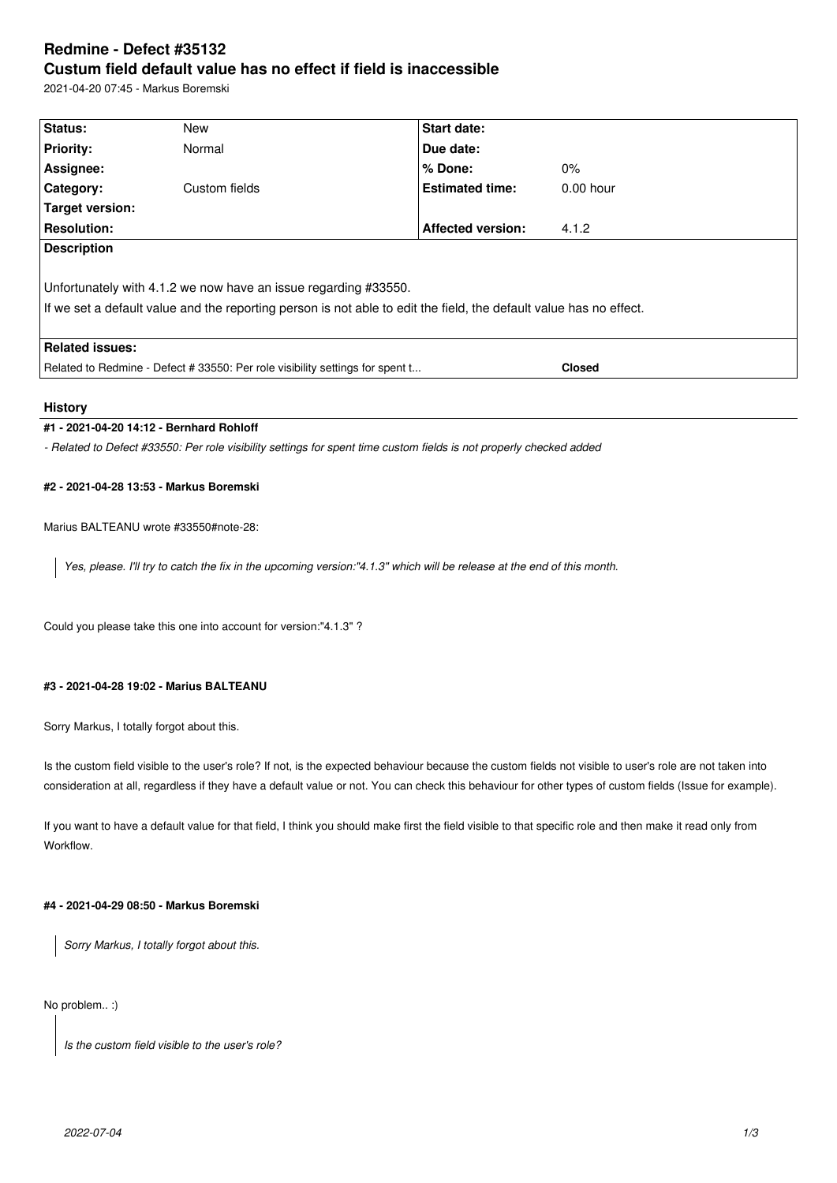# **Redmine - Defect #35132 Custum field default value has no effect if field is inaccessible**

2021-04-20 07:45 - Markus Boremski

| Status:                                                                                                            | New           | Start date:              |               |
|--------------------------------------------------------------------------------------------------------------------|---------------|--------------------------|---------------|
| <b>Priority:</b>                                                                                                   | Normal        | Due date:                |               |
| Assignee:                                                                                                          |               | $%$ Done:                | $0\%$         |
| Category:                                                                                                          | Custom fields | <b>Estimated time:</b>   | $0.00$ hour   |
| Target version:                                                                                                    |               |                          |               |
| <b>Resolution:</b>                                                                                                 |               | <b>Affected version:</b> | 4.1.2         |
| <b>Description</b>                                                                                                 |               |                          |               |
|                                                                                                                    |               |                          |               |
| Unfortunately with 4.1.2 we now have an issue regarding #33550.                                                    |               |                          |               |
| If we set a default value and the reporting person is not able to edit the field, the default value has no effect. |               |                          |               |
|                                                                                                                    |               |                          |               |
| <b>Related issues:</b>                                                                                             |               |                          |               |
| Related to Redmine - Defect # 33550: Per role visibility settings for spent t                                      |               |                          | <b>Closed</b> |

## **History**

# **#1 - 2021-04-20 14:12 - Bernhard Rohloff**

*- Related to Defect #33550: Per role visibility settings for spent time custom fields is not properly checked added*

# **#2 - 2021-04-28 13:53 - Markus Boremski**

#### Marius BALTEANU wrote #33550#note-28:

*Yes, please. I'll try to catch the fix in the upcoming version:"4.1.3" which will be release at the end of this month.*

Could you please take this one into account for version:"4.1.3" ?

# **#3 - 2021-04-28 19:02 - Marius BALTEANU**

Sorry Markus, I totally forgot about this.

Is the custom field visible to the user's role? If not, is the expected behaviour because the custom fields not visible to user's role are not taken into consideration at all, regardless if they have a default value or not. You can check this behaviour for other types of custom fields (Issue for example).

If you want to have a default value for that field, I think you should make first the field visible to that specific role and then make it read only from Workflow.

# **#4 - 2021-04-29 08:50 - Markus Boremski**

*Sorry Markus, I totally forgot about this.*

#### No problem.. :)

*Is the custom field visible to the user's role?*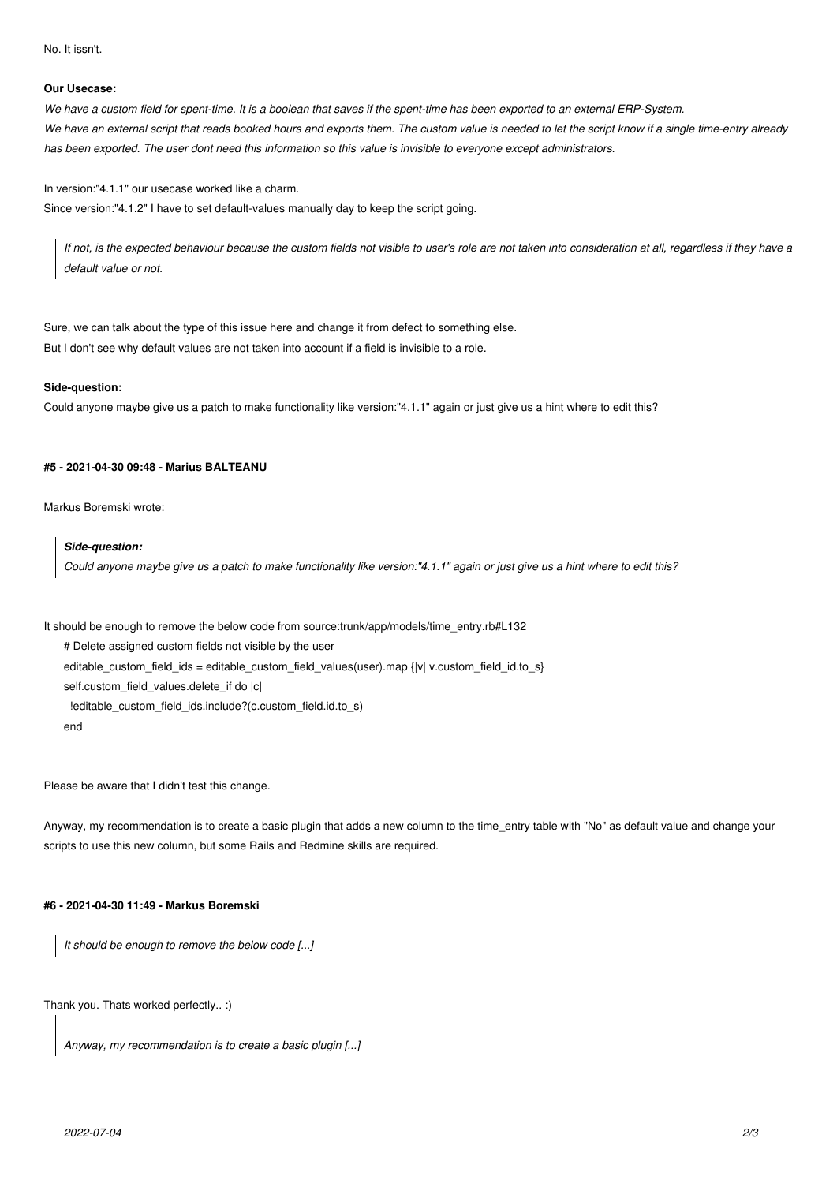No. It issn't.

#### **Our Usecase:**

*We have a custom field for spent-time. It is a boolean that saves if the spent-time has been exported to an external ERP-System. We have an external script that reads booked hours and exports them. The custom value is needed to let the script know if a single time-entry already has been exported. The user dont need this information so this value is invisible to everyone except administrators.*

In version:"4.1.1" our usecase worked like a charm. Since version:"4.1.2" I have to set default-values manually day to keep the script going.

*If not, is the expected behaviour because the custom fields not visible to user's role are not taken into consideration at all, regardless if they have a default value or not.*

Sure, we can talk about the type of this issue here and change it from defect to something else. But I don't see why default values are not taken into account if a field is invisible to a role.

#### **Side-question:**

Could anyone maybe give us a patch to make functionality like version:"4.1.1" again or just give us a hint where to edit this?

## **#5 - 2021-04-30 09:48 - Marius BALTEANU**

Markus Boremski wrote:

#### *Side-question:*

*Could anyone maybe give us a patch to make functionality like version:"4.1.1" again or just give us a hint where to edit this?*

It should be enough to remove the below code from source:trunk/app/models/time\_entry.rb#L132

# Delete assigned custom fields not visible by the user

editable\_custom\_field\_ids = editable\_custom\_field\_values(user).map {|v| v.custom\_field\_id.to\_s}

self.custom\_field\_values.delete\_if do |c|

!editable\_custom\_field\_ids.include?(c.custom\_field.id.to\_s)

end

Please be aware that I didn't test this change.

Anyway, my recommendation is to create a basic plugin that adds a new column to the time\_entry table with "No" as default value and change your scripts to use this new column, but some Rails and Redmine skills are required.

# **#6 - 2021-04-30 11:49 - Markus Boremski**

*It should be enough to remove the below code [...]*

Thank you. Thats worked perfectly.. :)

```
Anyway, my recommendation is to create a basic plugin [...]
```